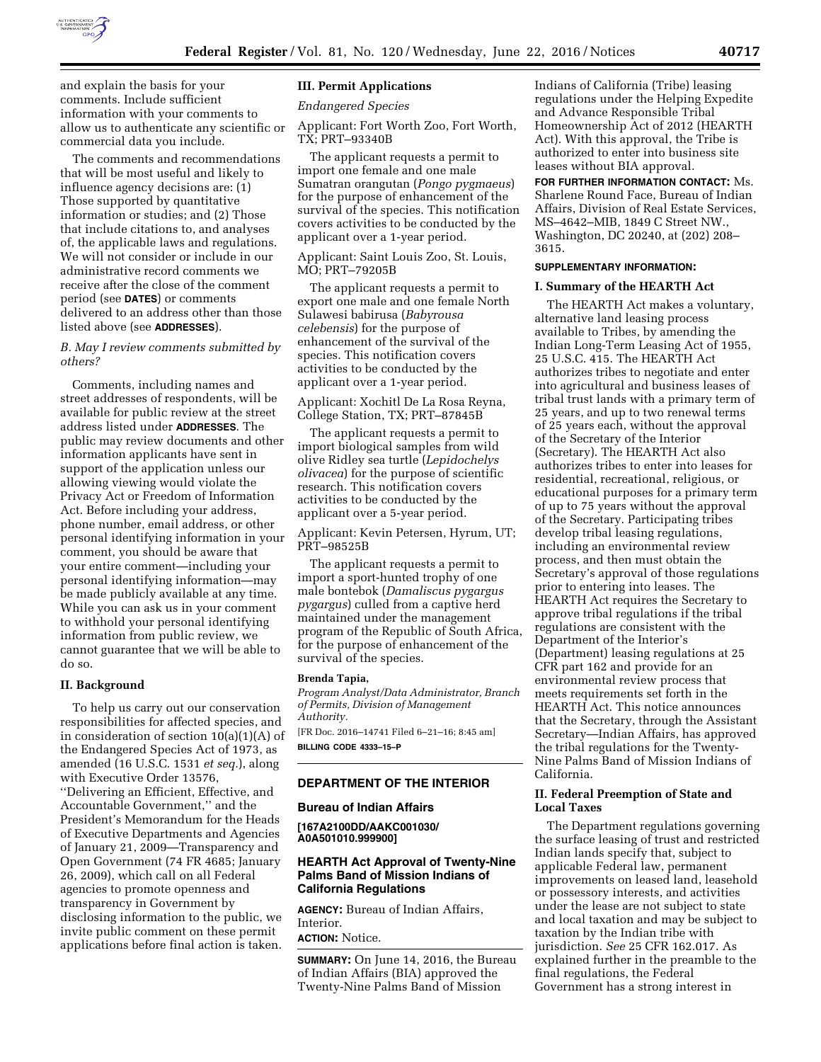

and explain the basis for your comments. Include sufficient information with your comments to allow us to authenticate any scientific or commercial data you include.

The comments and recommendations that will be most useful and likely to influence agency decisions are: (1) Those supported by quantitative information or studies; and (2) Those that include citations to, and analyses of, the applicable laws and regulations. We will not consider or include in our administrative record comments we receive after the close of the comment period (see **DATES**) or comments delivered to an address other than those listed above (see **ADDRESSES**).

# *B. May I review comments submitted by others?*

Comments, including names and street addresses of respondents, will be available for public review at the street address listed under **ADDRESSES**. The public may review documents and other information applicants have sent in support of the application unless our allowing viewing would violate the Privacy Act or Freedom of Information Act. Before including your address, phone number, email address, or other personal identifying information in your comment, you should be aware that your entire comment—including your personal identifying information—may be made publicly available at any time. While you can ask us in your comment to withhold your personal identifying information from public review, we cannot guarantee that we will be able to do so.

#### **II. Background**

To help us carry out our conservation responsibilities for affected species, and in consideration of section 10(a)(1)(A) of the Endangered Species Act of 1973, as amended (16 U.S.C. 1531 *et seq.*), along with Executive Order 13576, ''Delivering an Efficient, Effective, and Accountable Government,'' and the President's Memorandum for the Heads of Executive Departments and Agencies of January 21, 2009—Transparency and Open Government (74 FR 4685; January 26, 2009), which call on all Federal agencies to promote openness and transparency in Government by disclosing information to the public, we invite public comment on these permit applications before final action is taken.

#### **III. Permit Applications**

*Endangered Species* 

Applicant: Fort Worth Zoo, Fort Worth, TX; PRT–93340B

The applicant requests a permit to import one female and one male Sumatran orangutan (*Pongo pygmaeus*) for the purpose of enhancement of the survival of the species. This notification covers activities to be conducted by the applicant over a 1-year period.

Applicant: Saint Louis Zoo, St. Louis, MO; PRT–79205B

The applicant requests a permit to export one male and one female North Sulawesi babirusa (*Babyrousa celebensis*) for the purpose of enhancement of the survival of the species. This notification covers activities to be conducted by the applicant over a 1-year period.

### Applicant: Xochitl De La Rosa Reyna, College Station, TX; PRT–87845B

The applicant requests a permit to import biological samples from wild olive Ridley sea turtle (*Lepidochelys olivacea*) for the purpose of scientific research. This notification covers activities to be conducted by the applicant over a 5-year period.

Applicant: Kevin Petersen, Hyrum, UT; PRT–98525B

The applicant requests a permit to import a sport-hunted trophy of one male bontebok (*Damaliscus pygargus pygargus*) culled from a captive herd maintained under the management program of the Republic of South Africa, for the purpose of enhancement of the survival of the species.

#### **Brenda Tapia,**

*Program Analyst/Data Administrator, Branch of Permits, Division of Management Authority.*  [FR Doc. 2016–14741 Filed 6–21–16; 8:45 am]

**BILLING CODE 4333–15–P** 

### **DEPARTMENT OF THE INTERIOR**

#### **Bureau of Indian Affairs**

**[167A2100DD/AAKC001030/ A0A501010.999900]** 

### **HEARTH Act Approval of Twenty-Nine Palms Band of Mission Indians of California Regulations**

**AGENCY:** Bureau of Indian Affairs, Interior.

**ACTION:** Notice.

**SUMMARY:** On June 14, 2016, the Bureau of Indian Affairs (BIA) approved the Twenty-Nine Palms Band of Mission

Indians of California (Tribe) leasing regulations under the Helping Expedite and Advance Responsible Tribal Homeownership Act of 2012 (HEARTH Act). With this approval, the Tribe is authorized to enter into business site leases without BIA approval.

**FOR FURTHER INFORMATION CONTACT:** Ms. Sharlene Round Face, Bureau of Indian Affairs, Division of Real Estate Services, MS–4642–MIB, 1849 C Street NW., Washington, DC 20240, at (202) 208– 3615.

# **SUPPLEMENTARY INFORMATION:**

### **I. Summary of the HEARTH Act**

The HEARTH Act makes a voluntary, alternative land leasing process available to Tribes, by amending the Indian Long-Term Leasing Act of 1955, 25 U.S.C. 415. The HEARTH Act authorizes tribes to negotiate and enter into agricultural and business leases of tribal trust lands with a primary term of 25 years, and up to two renewal terms of 25 years each, without the approval of the Secretary of the Interior (Secretary). The HEARTH Act also authorizes tribes to enter into leases for residential, recreational, religious, or educational purposes for a primary term of up to 75 years without the approval of the Secretary. Participating tribes develop tribal leasing regulations, including an environmental review process, and then must obtain the Secretary's approval of those regulations prior to entering into leases. The HEARTH Act requires the Secretary to approve tribal regulations if the tribal regulations are consistent with the Department of the Interior's (Department) leasing regulations at 25 CFR part 162 and provide for an environmental review process that meets requirements set forth in the HEARTH Act. This notice announces that the Secretary, through the Assistant Secretary—Indian Affairs, has approved the tribal regulations for the Twenty-Nine Palms Band of Mission Indians of California.

# **II. Federal Preemption of State and Local Taxes**

The Department regulations governing the surface leasing of trust and restricted Indian lands specify that, subject to applicable Federal law, permanent improvements on leased land, leasehold or possessory interests, and activities under the lease are not subject to state and local taxation and may be subject to taxation by the Indian tribe with jurisdiction. *See* 25 CFR 162.017. As explained further in the preamble to the final regulations, the Federal Government has a strong interest in